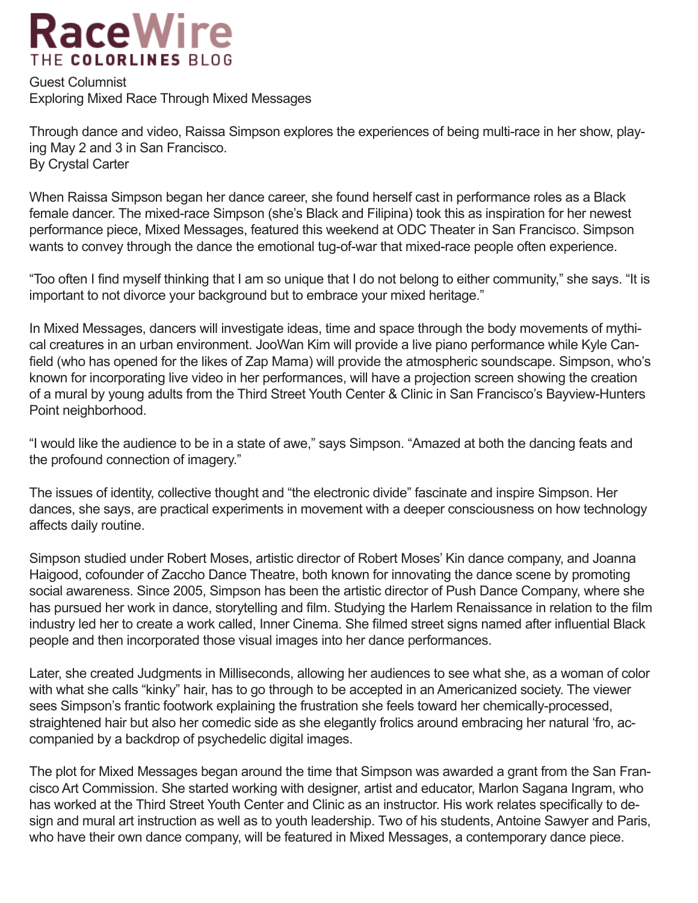## **RaceWire** THE COLORLINES BLOG

Guest Columnist Exploring Mixed Race Through Mixed Messages

Through dance and video, Raissa Simpson explores the experiences of being multi-race in her show, playing May 2 and 3 in San Francisco. By Crystal Carter

When Raissa Simpson began her dance career, she found herself cast in performance roles as a Black female dancer. The mixed-race Simpson (she's Black and Filipina) took this as inspiration for her newest performance piece, Mixed Messages, featured this weekend at ODC Theater in San Francisco. Simpson wants to convey through the dance the emotional tug-of-war that mixed-race people often experience.

"Too often I find myself thinking that I am so unique that I do not belong to either community," she says. "It is important to not divorce your background but to embrace your mixed heritage."

In Mixed Messages, dancers will investigate ideas, time and space through the body movements of mythical creatures in an urban environment. JooWan Kim will provide a live piano performance while Kyle Canfield (who has opened for the likes of Zap Mama) will provide the atmospheric soundscape. Simpson, who's known for incorporating live video in her performances, will have a projection screen showing the creation of a mural by young adults from the Third Street Youth Center & Clinic in San Francisco's Bayview-Hunters Point neighborhood.

"I would like the audience to be in a state of awe," says Simpson. "Amazed at both the dancing feats and the profound connection of imagery."

The issues of identity, collective thought and "the electronic divide" fascinate and inspire Simpson. Her dances, she says, are practical experiments in movement with a deeper consciousness on how technology affects daily routine.

Simpson studied under Robert Moses, artistic director of Robert Moses' Kin dance company, and Joanna Haigood, cofounder of Zaccho Dance Theatre, both known for innovating the dance scene by promoting social awareness. Since 2005, Simpson has been the artistic director of Push Dance Company, where she has pursued her work in dance, storytelling and film. Studying the Harlem Renaissance in relation to the film industry led her to create a work called, Inner Cinema. She filmed street signs named after influential Black people and then incorporated those visual images into her dance performances.

Later, she created Judgments in Milliseconds, allowing her audiences to see what she, as a woman of color with what she calls "kinky" hair, has to go through to be accepted in an Americanized society. The viewer sees Simpson's frantic footwork explaining the frustration she feels toward her chemically-processed, straightened hair but also her comedic side as she elegantly frolics around embracing her natural 'fro, accompanied by a backdrop of psychedelic digital images.

The plot for Mixed Messages began around the time that Simpson was awarded a grant from the San Francisco Art Commission. She started working with designer, artist and educator, Marlon Sagana Ingram, who has worked at the Third Street Youth Center and Clinic as an instructor. His work relates specifically to design and mural art instruction as well as to youth leadership. Two of his students, Antoine Sawyer and Paris, who have their own dance company, will be featured in Mixed Messages, a contemporary dance piece.